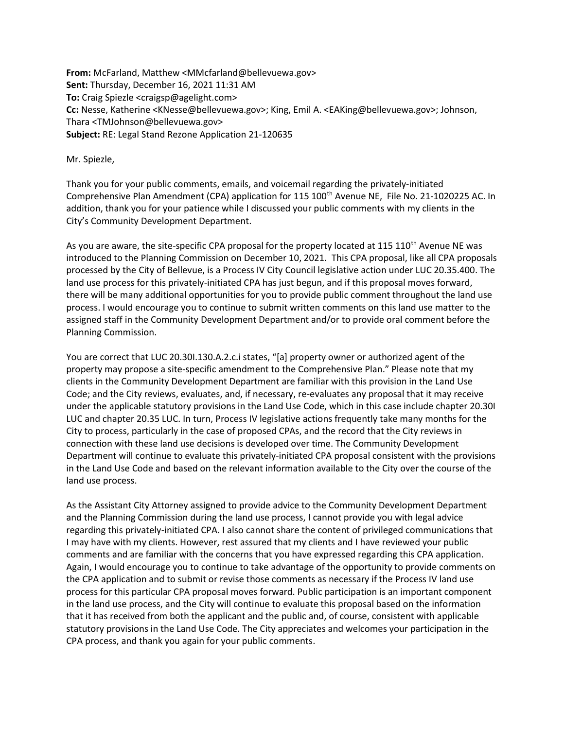From: McFarland, Matthew <MMcfarland@bellevuewa.gov> Sent: Thursday, December 16, 2021 11:31 AM To: Craig Spiezle <craigsp@agelight.com> Cc: Nesse, Katherine <KNesse@bellevuewa.gov>; King, Emil A. <EAKing@bellevuewa.gov>; Johnson, Thara <TMJohnson@bellevuewa.gov> Subject: RE: Legal Stand Rezone Application 21-120635

Mr. Spiezle,

Thank you for your public comments, emails, and voicemail regarding the privately-initiated Comprehensive Plan Amendment (CPA) application for 115 100<sup>th</sup> Avenue NE, File No. 21-1020225 AC. In addition, thank you for your patience while I discussed your public comments with my clients in the City's Community Development Department.

As you are aware, the site-specific CPA proposal for the property located at 115 110<sup>th</sup> Avenue NE was introduced to the Planning Commission on December 10, 2021. This CPA proposal, like all CPA proposals processed by the City of Bellevue, is a Process IV City Council legislative action under LUC 20.35.400. The land use process for this privately-initiated CPA has just begun, and if this proposal moves forward, there will be many additional opportunities for you to provide public comment throughout the land use process. I would encourage you to continue to submit written comments on this land use matter to the assigned staff in the Community Development Department and/or to provide oral comment before the Planning Commission.

You are correct that LUC 20.30I.130.A.2.c.i states, "[a] property owner or authorized agent of the property may propose a site-specific amendment to the Comprehensive Plan." Please note that my clients in the Community Development Department are familiar with this provision in the Land Use Code; and the City reviews, evaluates, and, if necessary, re-evaluates any proposal that it may receive under the applicable statutory provisions in the Land Use Code, which in this case include chapter 20.30I LUC and chapter 20.35 LUC. In turn, Process IV legislative actions frequently take many months for the City to process, particularly in the case of proposed CPAs, and the record that the City reviews in connection with these land use decisions is developed over time. The Community Development Department will continue to evaluate this privately-initiated CPA proposal consistent with the provisions in the Land Use Code and based on the relevant information available to the City over the course of the land use process.

As the Assistant City Attorney assigned to provide advice to the Community Development Department and the Planning Commission during the land use process, I cannot provide you with legal advice regarding this privately-initiated CPA. I also cannot share the content of privileged communications that I may have with my clients. However, rest assured that my clients and I have reviewed your public comments and are familiar with the concerns that you have expressed regarding this CPA application. Again, I would encourage you to continue to take advantage of the opportunity to provide comments on the CPA application and to submit or revise those comments as necessary if the Process IV land use process for this particular CPA proposal moves forward. Public participation is an important component in the land use process, and the City will continue to evaluate this proposal based on the information that it has received from both the applicant and the public and, of course, consistent with applicable statutory provisions in the Land Use Code. The City appreciates and welcomes your participation in the CPA process, and thank you again for your public comments.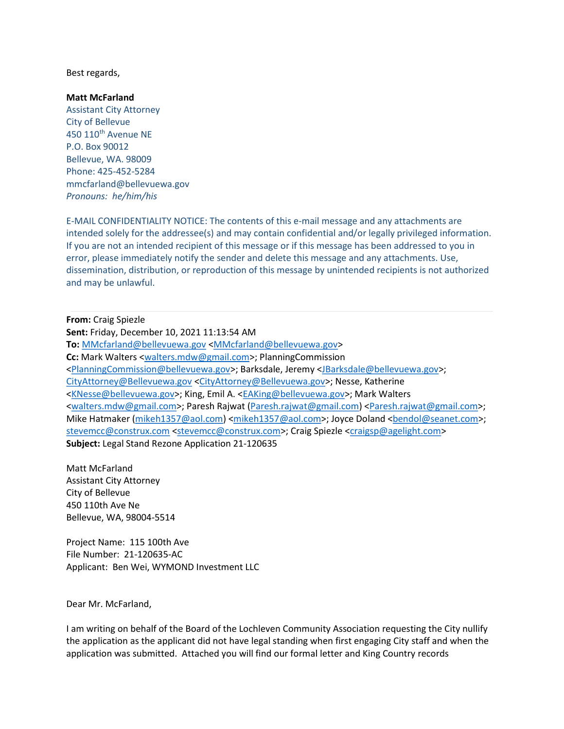Best regards,

Matt McFarland

Assistant City Attorney City of Bellevue 450 110th Avenue NE P.O. Box 90012 Bellevue, WA. 98009 Phone: 425-452-5284 mmcfarland@bellevuewa.gov Pronouns: he/him/his

E-MAIL CONFIDENTIALITY NOTICE: The contents of this e-mail message and any attachments are intended solely for the addressee(s) and may contain confidential and/or legally privileged information. If you are not an intended recipient of this message or if this message has been addressed to you in error, please immediately notify the sender and delete this message and any attachments. Use, dissemination, distribution, or reproduction of this message by unintended recipients is not authorized and may be unlawful.

From: Craig Spiezle Sent: Friday, December 10, 2021 11:13:54 AM To: MMcfarland@bellevuewa.gov <MMcfarland@bellevuewa.gov> Cc: Mark Walters <walters.mdw@gmail.com>; PlanningCommission <PlanningCommission@bellevuewa.gov>; Barksdale, Jeremy <JBarksdale@bellevuewa.gov>; CityAttorney@Bellevuewa.gov <CityAttorney@Bellevuewa.gov>; Nesse, Katherine <KNesse@bellevuewa.gov>; King, Emil A. <EAKing@bellevuewa.gov>; Mark Walters <walters.mdw@gmail.com>; Paresh Rajwat (Paresh.rajwat@gmail.com) <Paresh.rajwat@gmail.com>; Mike Hatmaker (mikeh1357@aol.com) <mikeh1357@aol.com>; Joyce Doland <bendol@seanet.com>; stevemcc@construx.com <stevemcc@construx.com>; Craig Spiezle <craigsp@agelight.com> Subject: Legal Stand Rezone Application 21-120635

Matt McFarland Assistant City Attorney City of Bellevue 450 110th Ave Ne Bellevue, WA, 98004-5514

Project Name: 115 100th Ave File Number: 21-120635-AC Applicant: Ben Wei, WYMOND Investment LLC

Dear Mr. McFarland,

I am writing on behalf of the Board of the Lochleven Community Association requesting the City nullify the application as the applicant did not have legal standing when first engaging City staff and when the application was submitted. Attached you will find our formal letter and King Country records